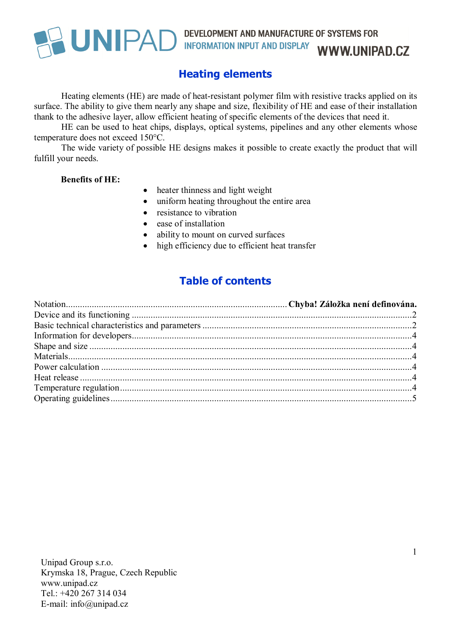### **Heating elements**

Heating elements (HE) are made of heat-resistant polymer film with resistive tracks applied on its surface. The ability to give them nearly any shape and size, flexibility of HE and ease of their installation thank to the adhesive layer, allow efficient heating of specific elements of the devices that need it.

HE can be used to heat chips, displays, optical systems, pipelines and any other elements whose temperature does not exceed 150°C.

The wide variety of possible HE designs makes it possible to create exactly the product that will fulfill your needs.

#### **Benefits of HE:**

- heater thinness and light weight
- uniform heating throughout the entire area
- resistance to vibration
- ease of installation
- ability to mount on curved surfaces
- high efficiency due to efficient heat transfer

#### **Table of contents**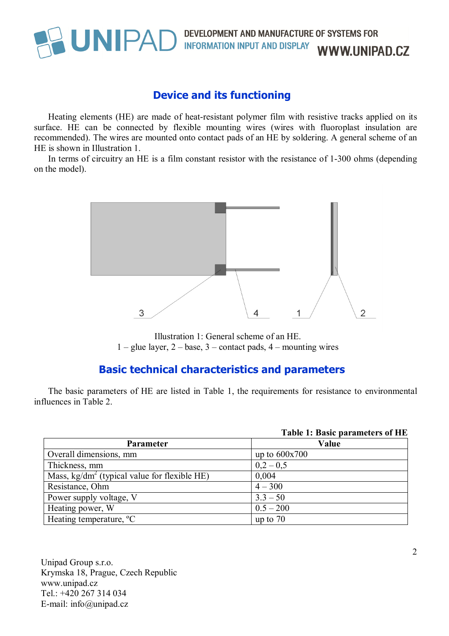#### **Device and its functioning**

Heating elements (HE) are made of heat-resistant polymer film with resistive tracks applied on its surface. HE can be connected by flexible mounting wires (wires with fluoroplast insulation are recommended). The wires are mounted onto contact pads of an HE by soldering. A general scheme of an HE is shown in Illustration 1.

In terms of circuitry an HE is a film constant resistor with the resistance of 1-300 ohms (depending on the model).



Illustration 1: General scheme of an HE.  $1 -$  glue layer,  $2 -$  base,  $3 -$  contact pads,  $4 -$  mounting wires

#### **Basic technical characteristics and parameters**

The basic parameters of HE are listed in Table 1, the requirements for resistance to environmental influences in Table 2.

|                                                        | Table 1: Basic parameters of HE |
|--------------------------------------------------------|---------------------------------|
| <b>Parameter</b>                                       | Value                           |
| Overall dimensions, mm                                 | up to $600x700$                 |
| Thickness, mm                                          | $0,2 - 0,5$                     |
| Mass, $\text{kg/dm}^2$ (typical value for flexible HE) | 0,004                           |
| Resistance, Ohm                                        | $4 - 300$                       |
| Power supply voltage, V                                | $3.3 - 50$                      |
| Heating power, W                                       | $0.5 - 200$                     |
| Heating temperature, <sup>o</sup> C                    | up to $70$                      |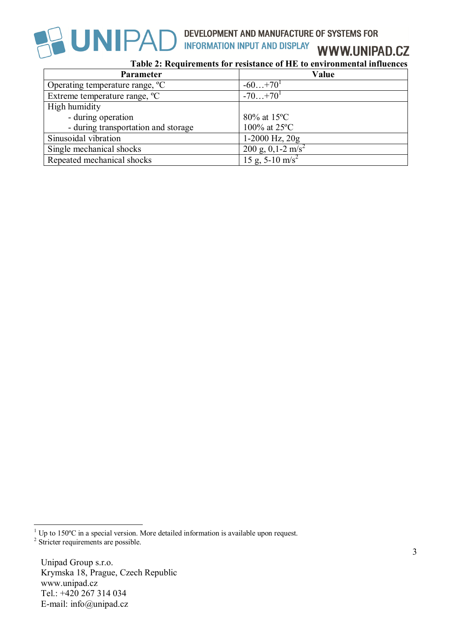

**WWW.UNIPAD.CZ** 

**Table 2: Requirements for resistance of HE to environmental influences**

| Parameter                                   | Value                         |
|---------------------------------------------|-------------------------------|
| Operating temperature range, <sup>o</sup> C | $-60+70^{1}$                  |
| Extreme temperature range, <sup>o</sup> C   | $-70+70^{1}$                  |
| High humidity                               |                               |
| - during operation                          | $80\%$ at 15°C                |
| - during transportation and storage         | 100% at 25°C                  |
| Sinusoidal vibration                        | $1-2000$ Hz, $20g$            |
| Single mechanical shocks                    | 200 g, 0,1-2 m/s <sup>2</sup> |
| Repeated mechanical shocks                  | 15 g, $5-10$ m/s <sup>2</sup> |

 $\overline{a}$ <sup>1</sup> Up to 150°C in a special version. More detailed information is available upon request. <sup>2</sup> Stricter requirements are possible.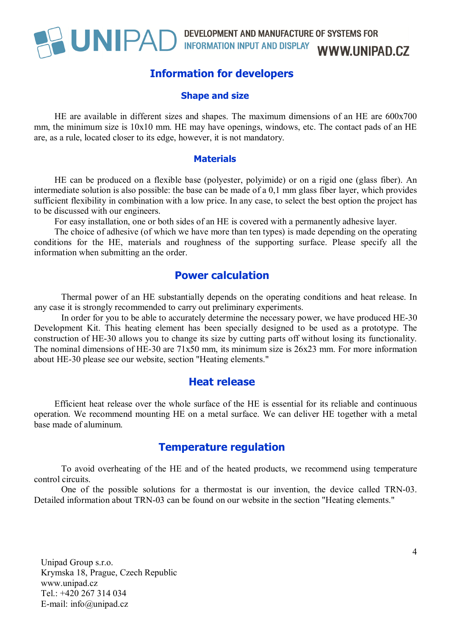#### **Information for developers**

#### **Shape and size**

HE are available in different sizes and shapes. The maximum dimensions of an HE are 600x700 mm, the minimum size is 10x10 mm. HE may have openings, windows, etc. The contact pads of an HE are, as a rule, located closer to its edge, however, it is not mandatory.

#### **Materials**

HE can be produced on a flexible base (polyester, polyimide) or on a rigid one (glass fiber). An intermediate solution is also possible: the base can be made of a 0,1 mm glass fiber layer, which provides sufficient flexibility in combination with a low price. In any case, to select the best option the project has to be discussed with our engineers.

For easy installation, one or both sides of an HE is covered with a permanently adhesive layer.

The choice of adhesive (of which we have more than ten types) is made depending on the operating conditions for the HE, materials and roughness of the supporting surface. Please specify all the information when submitting an the order.

#### **Power calculation**

Thermal power of an HE substantially depends on the operating conditions and heat release. In any case it is strongly recommended to carry out preliminary experiments.

In order for you to be able to accurately determine the necessary power, we have produced HE-30 Development Kit. This heating element has been specially designed to be used as a prototype. The construction of HE-30 allows you to change its size by cutting parts off without losing its functionality. The nominal dimensions of HE-30 are 71x50 mm, its minimum size is 26x23 mm. For more information about HE-30 please see our website, section "Heating elements."

#### **Heat release**

Efficient heat release over the whole surface of the HE is essential for its reliable and continuous operation. We recommend mounting HE on a metal surface. We can deliver HE together with a metal base made of aluminum.

#### **Temperature regulation**

To avoid overheating of the HE and of the heated products, we recommend using temperature control circuits.

One of the possible solutions for a thermostat is our invention, the device called TRN-03. Detailed information about TRN-03 can be found on our website in the section "Heating elements."